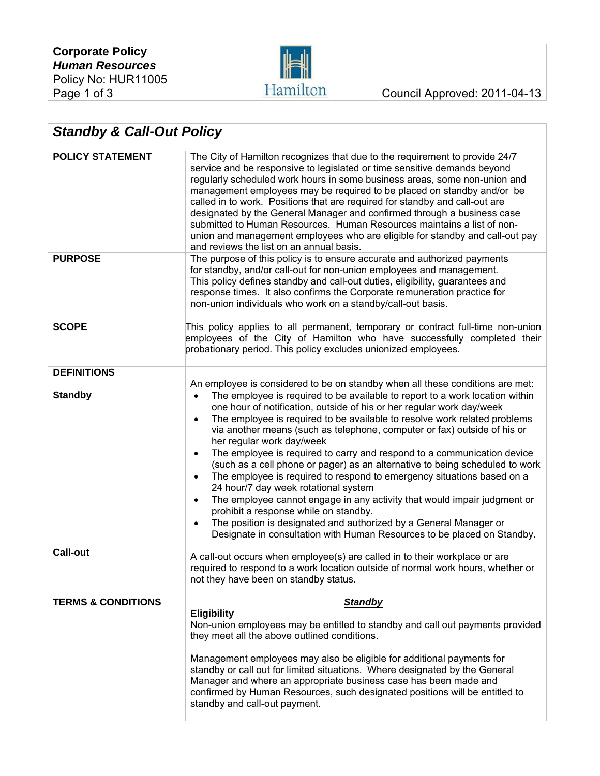| <b>Corporate Policy</b> |
|-------------------------|
| <b>Human Resources</b>  |
| Policy No: HUR11005     |
| Page 1 of 3             |



| <b>Standby &amp; Call-Out Policy</b> |                                                                                                                                                                                                                                                                                                                                                                                                                                                                                                                                                                                                                                                                                                                                                                                                                                                                                                                                                                                                                                                 |  |  |  |
|--------------------------------------|-------------------------------------------------------------------------------------------------------------------------------------------------------------------------------------------------------------------------------------------------------------------------------------------------------------------------------------------------------------------------------------------------------------------------------------------------------------------------------------------------------------------------------------------------------------------------------------------------------------------------------------------------------------------------------------------------------------------------------------------------------------------------------------------------------------------------------------------------------------------------------------------------------------------------------------------------------------------------------------------------------------------------------------------------|--|--|--|
| <b>POLICY STATEMENT</b>              | The City of Hamilton recognizes that due to the requirement to provide 24/7<br>service and be responsive to legislated or time sensitive demands beyond<br>regularly scheduled work hours in some business areas, some non-union and<br>management employees may be required to be placed on standby and/or be<br>called in to work. Positions that are required for standby and call-out are<br>designated by the General Manager and confirmed through a business case<br>submitted to Human Resources. Human Resources maintains a list of non-<br>union and management employees who are eligible for standby and call-out pay<br>and reviews the list on an annual basis.                                                                                                                                                                                                                                                                                                                                                                  |  |  |  |
| <b>PURPOSE</b>                       | The purpose of this policy is to ensure accurate and authorized payments<br>for standby, and/or call-out for non-union employees and management.<br>This policy defines standby and call-out duties, eligibility, guarantees and<br>response times. It also confirms the Corporate remuneration practice for<br>non-union individuals who work on a standby/call-out basis.                                                                                                                                                                                                                                                                                                                                                                                                                                                                                                                                                                                                                                                                     |  |  |  |
| <b>SCOPE</b>                         | This policy applies to all permanent, temporary or contract full-time non-union<br>employees of the City of Hamilton who have successfully completed their<br>probationary period. This policy excludes unionized employees.                                                                                                                                                                                                                                                                                                                                                                                                                                                                                                                                                                                                                                                                                                                                                                                                                    |  |  |  |
| <b>DEFINITIONS</b>                   |                                                                                                                                                                                                                                                                                                                                                                                                                                                                                                                                                                                                                                                                                                                                                                                                                                                                                                                                                                                                                                                 |  |  |  |
| <b>Standby</b>                       | An employee is considered to be on standby when all these conditions are met:<br>The employee is required to be available to report to a work location within<br>$\bullet$<br>one hour of notification, outside of his or her regular work day/week<br>The employee is required to be available to resolve work related problems<br>$\bullet$<br>via another means (such as telephone, computer or fax) outside of his or<br>her regular work day/week<br>The employee is required to carry and respond to a communication device<br>$\bullet$<br>(such as a cell phone or pager) as an alternative to being scheduled to work<br>The employee is required to respond to emergency situations based on a<br>$\bullet$<br>24 hour/7 day week rotational system<br>The employee cannot engage in any activity that would impair judgment or<br>$\bullet$<br>prohibit a response while on standby.<br>The position is designated and authorized by a General Manager or<br>Designate in consultation with Human Resources to be placed on Standby. |  |  |  |
| <b>Call-out</b>                      | A call-out occurs when employee(s) are called in to their workplace or are<br>required to respond to a work location outside of normal work hours, whether or<br>not they have been on standby status.                                                                                                                                                                                                                                                                                                                                                                                                                                                                                                                                                                                                                                                                                                                                                                                                                                          |  |  |  |
| <b>TERMS &amp; CONDITIONS</b>        | <b>Standby</b>                                                                                                                                                                                                                                                                                                                                                                                                                                                                                                                                                                                                                                                                                                                                                                                                                                                                                                                                                                                                                                  |  |  |  |
|                                      | <b>Eligibility</b><br>Non-union employees may be entitled to standby and call out payments provided<br>they meet all the above outlined conditions.<br>Management employees may also be eligible for additional payments for<br>standby or call out for limited situations. Where designated by the General<br>Manager and where an appropriate business case has been made and<br>confirmed by Human Resources, such designated positions will be entitled to                                                                                                                                                                                                                                                                                                                                                                                                                                                                                                                                                                                  |  |  |  |
|                                      | standby and call-out payment.                                                                                                                                                                                                                                                                                                                                                                                                                                                                                                                                                                                                                                                                                                                                                                                                                                                                                                                                                                                                                   |  |  |  |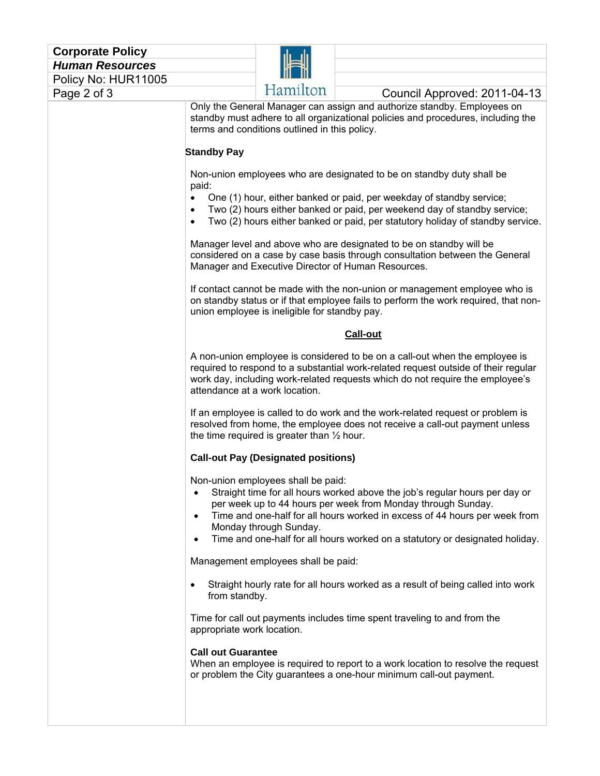| <b>Corporate Policy</b> |                                                                                                                                                                                                                                                                                                                                                                                                                                |                                                              |                                                                                                                                                                                                                                                                                                           |  |  |
|-------------------------|--------------------------------------------------------------------------------------------------------------------------------------------------------------------------------------------------------------------------------------------------------------------------------------------------------------------------------------------------------------------------------------------------------------------------------|--------------------------------------------------------------|-----------------------------------------------------------------------------------------------------------------------------------------------------------------------------------------------------------------------------------------------------------------------------------------------------------|--|--|
| <b>Human Resources</b>  |                                                                                                                                                                                                                                                                                                                                                                                                                                |                                                              |                                                                                                                                                                                                                                                                                                           |  |  |
| Policy No: HUR11005     |                                                                                                                                                                                                                                                                                                                                                                                                                                |                                                              |                                                                                                                                                                                                                                                                                                           |  |  |
| Page 2 of 3             |                                                                                                                                                                                                                                                                                                                                                                                                                                | Hamilton                                                     | Council Approved: 2011-04-13                                                                                                                                                                                                                                                                              |  |  |
|                         | <b>Standby Pay</b>                                                                                                                                                                                                                                                                                                                                                                                                             | terms and conditions outlined in this policy.                | Only the General Manager can assign and authorize standby. Employees on<br>standby must adhere to all organizational policies and procedures, including the                                                                                                                                               |  |  |
|                         |                                                                                                                                                                                                                                                                                                                                                                                                                                |                                                              |                                                                                                                                                                                                                                                                                                           |  |  |
|                         | Non-union employees who are designated to be on standby duty shall be<br>paid:<br>One (1) hour, either banked or paid, per weekday of standby service;<br>$\bullet$<br>Two (2) hours either banked or paid, per weekend day of standby service;<br>$\bullet$<br>Two (2) hours either banked or paid, per statutory holiday of standby service.<br>$\bullet$                                                                    |                                                              |                                                                                                                                                                                                                                                                                                           |  |  |
|                         | Manager level and above who are designated to be on standby will be<br>considered on a case by case basis through consultation between the General<br>Manager and Executive Director of Human Resources.<br>If contact cannot be made with the non-union or management employee who is<br>on standby status or if that employee fails to perform the work required, that non-<br>union employee is ineligible for standby pay. |                                                              |                                                                                                                                                                                                                                                                                                           |  |  |
|                         |                                                                                                                                                                                                                                                                                                                                                                                                                                |                                                              |                                                                                                                                                                                                                                                                                                           |  |  |
|                         |                                                                                                                                                                                                                                                                                                                                                                                                                                |                                                              | Call-out                                                                                                                                                                                                                                                                                                  |  |  |
|                         | attendance at a work location.                                                                                                                                                                                                                                                                                                                                                                                                 |                                                              | A non-union employee is considered to be on a call-out when the employee is<br>required to respond to a substantial work-related request outside of their regular<br>work day, including work-related requests which do not require the employee's                                                        |  |  |
|                         | If an employee is called to do work and the work-related request or problem is<br>resolved from home, the employee does not receive a call-out payment unless<br>the time required is greater than $\frac{1}{2}$ hour.<br><b>Call-out Pay (Designated positions)</b>                                                                                                                                                           |                                                              |                                                                                                                                                                                                                                                                                                           |  |  |
|                         |                                                                                                                                                                                                                                                                                                                                                                                                                                |                                                              |                                                                                                                                                                                                                                                                                                           |  |  |
|                         | $\bullet$<br>$\bullet$<br>$\bullet$                                                                                                                                                                                                                                                                                                                                                                                            | Non-union employees shall be paid:<br>Monday through Sunday. | Straight time for all hours worked above the job's regular hours per day or<br>per week up to 44 hours per week from Monday through Sunday.<br>Time and one-half for all hours worked in excess of 44 hours per week from<br>Time and one-half for all hours worked on a statutory or designated holiday. |  |  |
|                         | Management employees shall be paid:                                                                                                                                                                                                                                                                                                                                                                                            |                                                              |                                                                                                                                                                                                                                                                                                           |  |  |
|                         | $\bullet$<br>from standby.                                                                                                                                                                                                                                                                                                                                                                                                     |                                                              | Straight hourly rate for all hours worked as a result of being called into work                                                                                                                                                                                                                           |  |  |
|                         | appropriate work location.                                                                                                                                                                                                                                                                                                                                                                                                     |                                                              | Time for call out payments includes time spent traveling to and from the                                                                                                                                                                                                                                  |  |  |
|                         | <b>Call out Guarantee</b>                                                                                                                                                                                                                                                                                                                                                                                                      |                                                              | When an employee is required to report to a work location to resolve the request<br>or problem the City guarantees a one-hour minimum call-out payment.                                                                                                                                                   |  |  |
|                         |                                                                                                                                                                                                                                                                                                                                                                                                                                |                                                              |                                                                                                                                                                                                                                                                                                           |  |  |